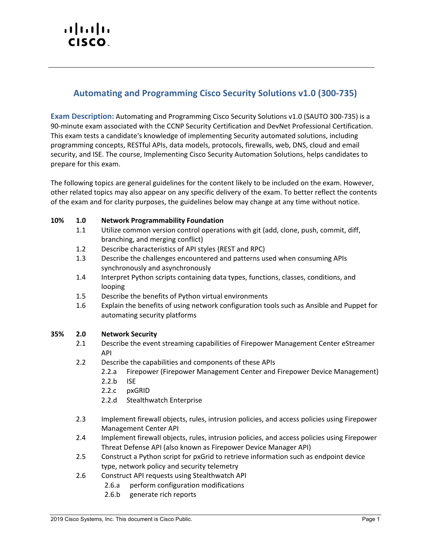# altalti CISCO.

# **Automating and Programming Cisco Security Solutions v1.0 (300-735)**

**Exam Description:** Automating and Programming Cisco Security Solutions v1.0 (SAUTO 300-735) is a 90-minute exam associated with the CCNP Security Certification and DevNet Professional Certification. This exam tests a candidate's knowledge of implementing Security automated solutions, including programming concepts, RESTful APIs, data models, protocols, firewalls, web, DNS, cloud and email security, and ISE. The course, Implementing Cisco Security Automation Solutions, helps candidates to prepare for this exam.

The following topics are general guidelines for the content likely to be included on the exam. However, other related topics may also appear on any specific delivery of the exam. To better reflect the contents of the exam and for clarity purposes, the guidelines below may change at any time without notice.

## **10% 1.0 Network Programmability Foundation**

- 1.1 Utilize common version control operations with git (add, clone, push, commit, diff, branching, and merging conflict)
- 1.2 Describe characteristics of API styles (REST and RPC)
- 1.3 Describe the challenges encountered and patterns used when consuming APIs synchronously and asynchronously
- 1.4 Interpret Python scripts containing data types, functions, classes, conditions, and looping
- 1.5 Describe the benefits of Python virtual environments
- 1.6 Explain the benefits of using network configuration tools such as Ansible and Puppet for automating security platforms

# **35% 2.0 Network Security**

- 2.1 Describe the event streaming capabilities of Firepower Management Center eStreamer API
- 2.2 Describe the capabilities and components of these APIs
	- 2.2.a Firepower (Firepower Management Center and Firepower Device Management)
	- 2.2.b ISE
	- 2.2.c pxGRID
	- 2.2.d Stealthwatch Enterprise
- 2.3 Implement firewall objects, rules, intrusion policies, and access policies using Firepower Management Center API
- 2.4 Implement firewall objects, rules, intrusion policies, and access policies using Firepower Threat Defense API (also known as Firepower Device Manager API)
- 2.5 Construct a Python script for pxGrid to retrieve information such as endpoint device type, network policy and security telemetry
- 2.6 Construct API requests using Stealthwatch API
	- 2.6.a perform configuration modifications
	- 2.6.b generate rich reports